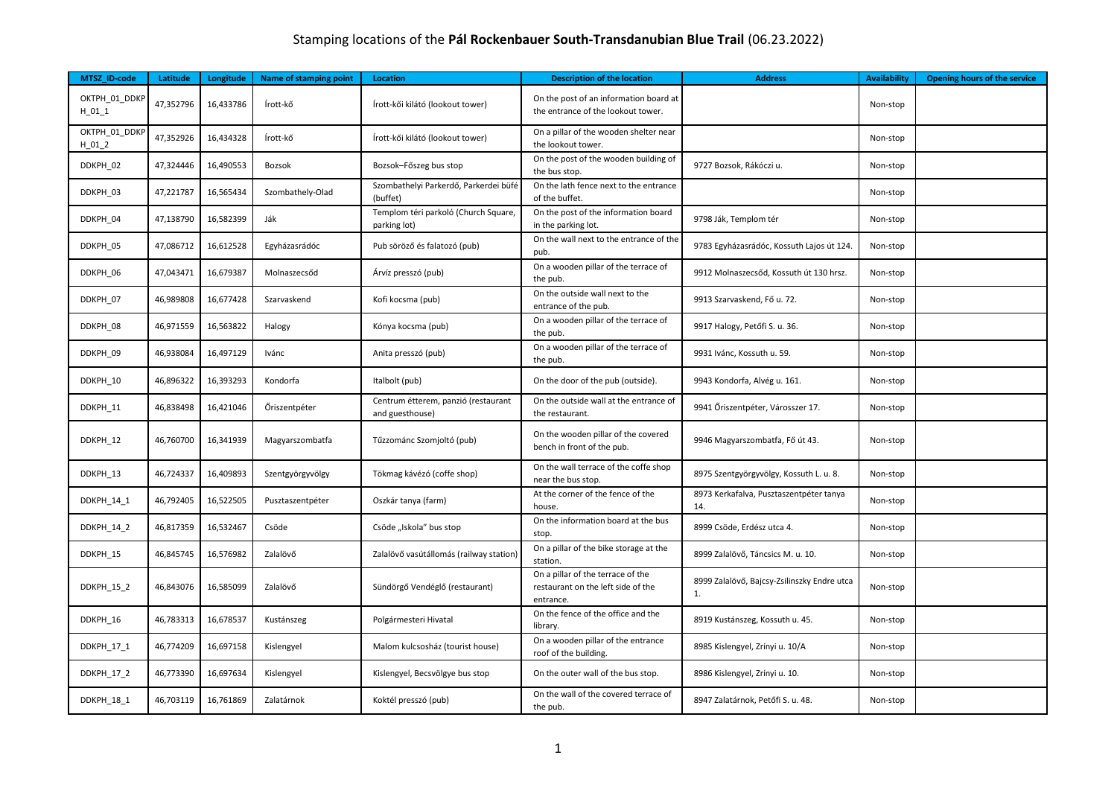## Stamping locations of the **Pál Rockenbauer South-Transdanubian Blue Trail** (06.23.2022)

| <b>MTSZ ID-code</b>      | Latitude  | Longitude | <b>Name of stamping point</b> | Location                                               | <b>Description of the location</b>                                                   | <b>Address</b>                                    | <b>Availability</b> | <b>Opening hours of the service</b> |
|--------------------------|-----------|-----------|-------------------------------|--------------------------------------------------------|--------------------------------------------------------------------------------------|---------------------------------------------------|---------------------|-------------------------------------|
| OKTPH_01_DDKP<br>$H_011$ | 47,352796 | 16,433786 | Írott-kő                      | Írott-kői kilátó (lookout tower)                       | On the post of an information board at<br>the entrance of the lookout tower.         |                                                   | Non-stop            |                                     |
| OKTPH_01_DDKP<br>$H_012$ | 47,352926 | 16,434328 | Írott-kő                      | Írott-kői kilátó (lookout tower)                       | On a pillar of the wooden shelter near<br>the lookout tower.                         |                                                   | Non-stop            |                                     |
| DDKPH_02                 | 47,324446 | 16,490553 | Bozsok                        | Bozsok-Főszeg bus stop                                 | On the post of the wooden building of<br>the bus stop.                               | 9727 Bozsok, Rákóczi u.                           | Non-stop            |                                     |
| DDKPH_03                 | 47,221787 | 16,565434 | Szombathely-Olad              | Szombathelyi Parkerdő, Parkerdei büfé<br>(buffet)      | On the lath fence next to the entrance<br>of the buffet.                             |                                                   | Non-stop            |                                     |
| DDKPH_04                 | 47,138790 | 16,582399 | Ják                           | Templom téri parkoló (Church Square,<br>parking lot)   | On the post of the information board<br>in the parking lot.                          | 9798 Ják, Templom tér                             | Non-stop            |                                     |
| DDKPH 05                 | 47,086712 | 16,612528 | Egyházasrádóc                 | Pub söröző és falatozó (pub)                           | On the wall next to the entrance of the<br>pub.                                      | 9783 Egyházasrádóc, Kossuth Lajos út 124.         | Non-stop            |                                     |
| DDKPH 06                 | 47,043471 | 16,679387 | Molnaszecsőd                  | Árvíz presszó (pub)                                    | On a wooden pillar of the terrace of<br>the pub.                                     | 9912 Molnaszecsőd, Kossuth út 130 hrsz.           | Non-stop            |                                     |
| DDKPH 07                 | 46,989808 | 16,677428 | Szarvaskend                   | Kofi kocsma (pub)                                      | On the outside wall next to the<br>entrance of the pub.                              | 9913 Szarvaskend, Fő u. 72.                       | Non-stop            |                                     |
| DDKPH_08                 | 46,971559 | 16,563822 | Halogy                        | Kónya kocsma (pub)                                     | On a wooden pillar of the terrace of<br>the pub.                                     | 9917 Halogy, Petőfi S. u. 36.                     | Non-stop            |                                     |
| DDKPH_09                 | 46,938084 | 16,497129 | Ivánc                         | Anita presszó (pub)                                    | On a wooden pillar of the terrace of<br>the pub.                                     | 9931 Ivánc, Kossuth u. 59.                        | Non-stop            |                                     |
| DDKPH_10                 | 46,896322 | 16,393293 | Kondorfa                      | Italbolt (pub)                                         | On the door of the pub (outside).                                                    | 9943 Kondorfa, Alvég u. 161.                      | Non-stop            |                                     |
| DDKPH_11                 | 46,838498 | 16,421046 | Öriszentpéter                 | Centrum étterem, panzió (restaurant<br>and guesthouse) | On the outside wall at the entrance of<br>the restaurant.                            | 9941 Őriszentpéter, Városszer 17.                 | Non-stop            |                                     |
| DDKPH_12                 | 46,760700 | 16,341939 | Magyarszombatfa               | Tűzzománc Szomjoltó (pub)                              | On the wooden pillar of the covered<br>bench in front of the pub.                    | 9946 Magyarszombatfa, Fő út 43.                   | Non-stop            |                                     |
| DDKPH 13                 | 46,724337 | 16,409893 | Szentgyörgyvölgy              | Tökmag kávézó (coffe shop)                             | On the wall terrace of the coffe shop<br>near the bus stop.                          | 8975 Szentgyörgyvölgy, Kossuth L. u. 8.           | Non-stop            |                                     |
| DDKPH_14_1               | 46,792405 | 16,522505 | Pusztaszentpéter              | Oszkár tanya (farm)                                    | At the corner of the fence of the<br>house.                                          | 8973 Kerkafalva, Pusztaszentpéter tanya<br>14.    | Non-stop            |                                     |
| DDKPH_14_2               | 46,817359 | 16,532467 | Csöde                         | Csöde "Iskola" bus stop                                | On the information board at the bus<br>stop.                                         | 8999 Csöde, Erdész utca 4.                        | Non-stop            |                                     |
| DDKPH 15                 | 46,845745 | 16,576982 | Zalalövő                      | Zalalövő vasútállomás (railway station)                | On a pillar of the bike storage at the<br>station.                                   | 8999 Zalalövő, Táncsics M. u. 10.                 | Non-stop            |                                     |
| DDKPH_15_2               | 46,843076 | 16,585099 | Zalalövő                      | Sündörgő Vendéglő (restaurant)                         | On a pillar of the terrace of the<br>restaurant on the left side of the<br>entrance. | 8999 Zalalövő, Bajcsy-Zsilinszky Endre utca<br>1. | Non-stop            |                                     |
| DDKPH 16                 | 46,783313 | 16,678537 | Kustánszeg                    | Polgármesteri Hivatal                                  | On the fence of the office and the<br>library.                                       | 8919 Kustánszeg, Kossuth u. 45.                   | Non-stop            |                                     |
| DDKPH_17_1               | 46,774209 | 16,697158 | Kislengyel                    | Malom kulcsosház (tourist house)                       | On a wooden pillar of the entrance<br>roof of the building.                          | 8985 Kislengyel, Zrínyi u. 10/A                   | Non-stop            |                                     |
| DDKPH_17_2               | 46,773390 | 16,697634 | Kislengyel                    | Kislengyel, Becsvölgye bus stop                        | On the outer wall of the bus stop.                                                   | 8986 Kislengyel, Zrínyi u. 10.                    | Non-stop            |                                     |
| DDKPH_18_1               | 46,703119 | 16,761869 | Zalatárnok                    | Koktél presszó (pub)                                   | On the wall of the covered terrace of<br>the pub.                                    | 8947 Zalatárnok, Petőfi S. u. 48.                 | Non-stop            |                                     |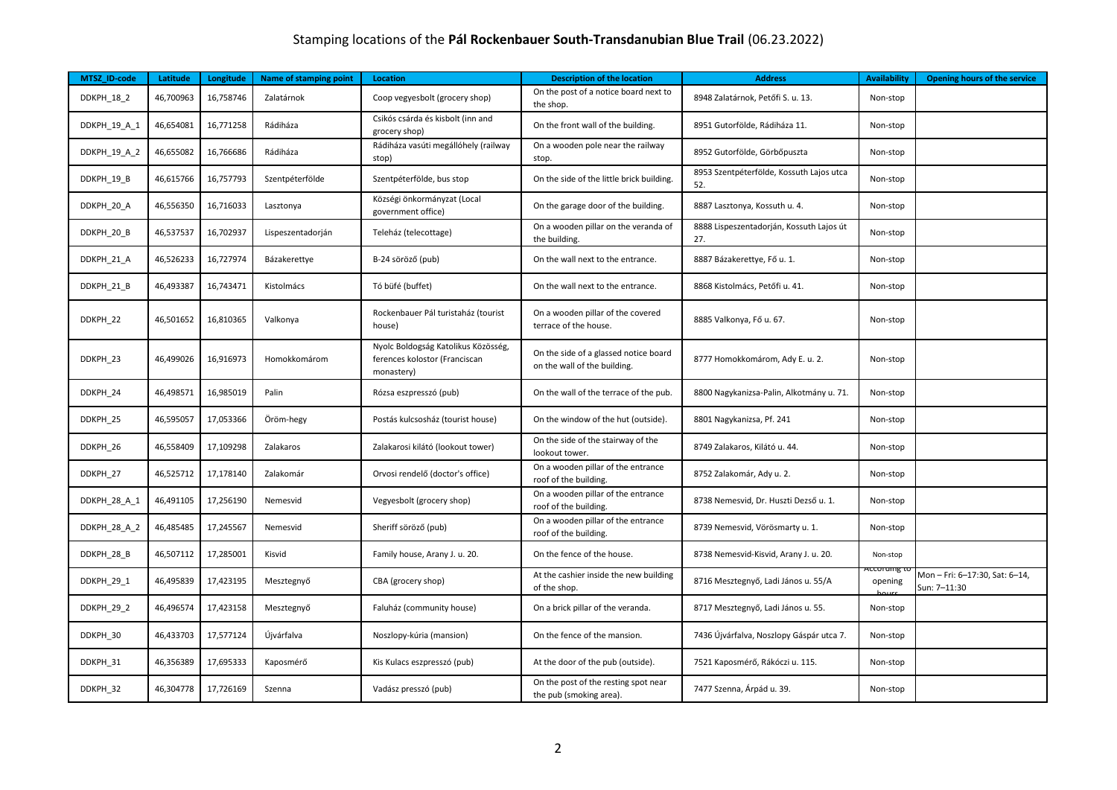## Stamping locations of the **Pál Rockenbauer South-Transdanubian Blue Trail** (06.23.2022)

| MTSZ_ID-code | Latitude  | Longitude | Name of stamping point | Location                                                                           | <b>Description of the location</b>                                    | <b>Address</b>                                  | <b>Availability</b>        | <b>Opening hours of the service</b>          |
|--------------|-----------|-----------|------------------------|------------------------------------------------------------------------------------|-----------------------------------------------------------------------|-------------------------------------------------|----------------------------|----------------------------------------------|
| DDKPH_18_2   | 46,700963 | 16,758746 | Zalatárnok             | Coop vegyesbolt (grocery shop)                                                     | On the post of a notice board next to<br>the shop.                    | 8948 Zalatárnok, Petőfi S. u. 13.               | Non-stop                   |                                              |
| DDKPH 19 A 1 | 46,654081 | 16,771258 | Rádiháza               | Csikós csárda és kisbolt (inn and<br>grocery shop)                                 | On the front wall of the building.                                    | 8951 Gutorfölde, Rádiháza 11.                   | Non-stop                   |                                              |
| DDKPH_19_A_2 | 46,655082 | 16,766686 | Rádiháza               | Rádiháza vasúti megállóhely (railway<br>stop)                                      | On a wooden pole near the railway<br>stop.                            | 8952 Gutorfölde, Görbőpuszta                    | Non-stop                   |                                              |
| DDKPH_19_B   | 46,615766 | 16,757793 | Szentpéterfölde        | Szentpéterfölde, bus stop                                                          | On the side of the little brick building.                             | 8953 Szentpéterfölde, Kossuth Lajos utca<br>52. | Non-stop                   |                                              |
| DDKPH_20_A   | 46,556350 | 16,716033 | Lasztonya              | Községi önkormányzat (Local<br>government office)                                  | On the garage door of the building.                                   | 8887 Lasztonya, Kossuth u. 4.                   | Non-stop                   |                                              |
| DDKPH_20_B   | 46,537537 | 16,702937 | Lispeszentadorján      | Teleház (telecottage)                                                              | On a wooden pillar on the veranda of<br>the building.                 | 8888 Lispeszentadorján, Kossuth Lajos út<br>27. | Non-stop                   |                                              |
| DDKPH_21_A   | 46,526233 | 16,727974 | Bázakerettye           | B-24 söröző (pub)                                                                  | On the wall next to the entrance.                                     | 8887 Bázakerettye, Fő u. 1.                     | Non-stop                   |                                              |
| DDKPH_21_B   | 46,493387 | 16,743471 | Kistolmács             | Tó büfé (buffet)                                                                   | On the wall next to the entrance.                                     | 8868 Kistolmács, Petőfi u. 41.                  | Non-stop                   |                                              |
| DDKPH 22     | 46,501652 | 16,810365 | Valkonya               | Rockenbauer Pál turistaház (tourist<br>house)                                      | On a wooden pillar of the covered<br>terrace of the house.            | 8885 Valkonya, Fő u. 67.                        | Non-stop                   |                                              |
| DDKPH 23     | 46,499026 | 16,916973 | Homokkomárom           | Nyolc Boldogság Katolikus Közösség,<br>ferences kolostor (Franciscan<br>monastery) | On the side of a glassed notice board<br>on the wall of the building. | 8777 Homokkomárom, Ady E. u. 2.                 | Non-stop                   |                                              |
| DDKPH_24     | 46,498571 | 16,985019 | Palin                  | Rózsa eszpresszó (pub)                                                             | On the wall of the terrace of the pub.                                | 8800 Nagykanizsa-Palin, Alkotmány u. 71.        | Non-stop                   |                                              |
| DDKPH 25     | 46,595057 | 17,053366 | Öröm-hegy              | Postás kulcsosház (tourist house)                                                  | On the window of the hut (outside).                                   | 8801 Nagykanizsa, Pf. 241                       | Non-stop                   |                                              |
| DDKPH 26     | 46,558409 | 17,109298 | Zalakaros              | Zalakarosi kilátó (lookout tower)                                                  | On the side of the stairway of the<br>lookout tower.                  | 8749 Zalakaros, Kilátó u. 44.                   | Non-stop                   |                                              |
| DDKPH 27     | 46,525712 | 17,178140 | Zalakomár              | Orvosi rendelő (doctor's office)                                                   | On a wooden pillar of the entrance<br>roof of the building.           | 8752 Zalakomár, Ady u. 2.                       | Non-stop                   |                                              |
| DDKPH_28_A_1 | 46,491105 | 17,256190 | Nemesvid               | Vegyesbolt (grocery shop)                                                          | On a wooden pillar of the entrance<br>roof of the building.           | 8738 Nemesvid, Dr. Huszti Dezső u. 1.           | Non-stop                   |                                              |
| DDKPH 28 A 2 | 46,485485 | 17,245567 | Nemesvid               | Sheriff söröző (pub)                                                               | On a wooden pillar of the entrance<br>roof of the building.           | 8739 Nemesvid, Vörösmarty u. 1.                 | Non-stop                   |                                              |
| DDKPH_28_B   | 46,507112 | 17,285001 | Kisvid                 | Family house, Arany J. u. 20.                                                      | On the fence of the house.                                            | 8738 Nemesvid-Kisvid, Arany J. u. 20.           | Non-stop                   |                                              |
| DDKPH_29_1   | 46,495839 | 17,423195 | Mesztegnyő             | CBA (grocery shop)                                                                 | At the cashier inside the new building<br>of the shop.                | 8716 Mesztegnyő, Ladi János u. 55/A             | <u>iccorumg</u><br>opening | Mon-Fri: 6-17:30, Sat: 6-14,<br>Sun: 7–11:30 |
| DDKPH 29 2   | 46,496574 | 17,423158 | Mesztegnyő             | Faluház (community house)                                                          | On a brick pillar of the veranda.                                     | 8717 Mesztegnyő, Ladi János u. 55.              | Non-stop                   |                                              |
| DDKPH_30     | 46,433703 | 17,577124 | Újvárfalva             | Noszlopy-kúria (mansion)                                                           | On the fence of the mansion.                                          | 7436 Újvárfalva, Noszlopy Gáspár utca 7.        | Non-stop                   |                                              |
| DDKPH_31     | 46,356389 | 17,695333 | Kaposmérő              | Kis Kulacs eszpresszó (pub)                                                        | At the door of the pub (outside).                                     | 7521 Kaposmérő, Rákóczi u. 115.                 | Non-stop                   |                                              |
| DDKPH 32     | 46,304778 | 17,726169 | Szenna                 | Vadász presszó (pub)                                                               | On the post of the resting spot near<br>the pub (smoking area).       | 7477 Szenna, Árpád u. 39.                       | Non-stop                   |                                              |